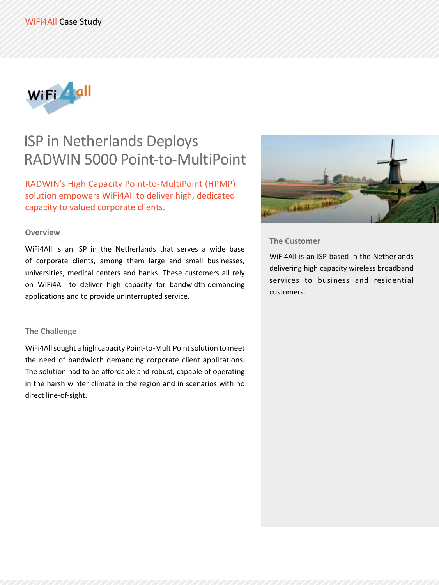

# ISP in Netherlands Deploys RADWIN 5000 Point-to-MultiPoint

RADWIN's High Capacity Point-to-MultiPoint (HPMP) solution empowers WiFi4All to deliver high, dedicated capacity to valued corporate clients.

#### **Overview**

WiFi4All is an ISP in the Netherlands that serves a wide base of corporate clients, among them large and small businesses, universities, medical centers and banks. These customers all rely on WiFi4All to deliver high capacity for bandwidth-demanding applications and to provide uninterrupted service.

## **The Challenge**

WiFi4All sought a high capacity Point-to-MultiPoint solution to meet the need of bandwidth demanding corporate client applications. The solution had to be affordable and robust, capable of operating in the harsh winter climate in the region and in scenarios with no direct line-of-sight.



## **The Customer**

WiFi4All is an ISP based in the Netherlands delivering high capacity wireless broadband services to business and residential .customers